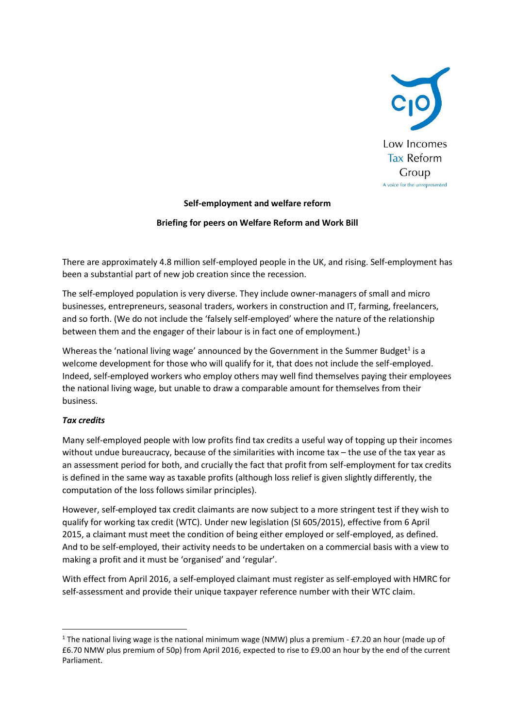

## **Self-employment and welfare reform**

## **Briefing for peers on Welfare Reform and Work Bill**

There are approximately 4.8 million self-employed people in the UK, and rising. Self-employment has been a substantial part of new job creation since the recession.

The self-employed population is very diverse. They include owner-managers of small and micro businesses, entrepreneurs, seasonal traders, workers in construction and IT, farming, freelancers, and so forth. (We do not include the 'falsely self-employed' where the nature of the relationship between them and the engager of their labour is in fact one of employment.)

Whereas the 'national living wage' announced by the Government in the Summer Budget<sup>1</sup> is a welcome development for those who will qualify for it, that does not include the self-employed. Indeed, self-employed workers who employ others may well find themselves paying their employees the national living wage, but unable to draw a comparable amount for themselves from their business.

## *Tax credits*

**.** 

Many self-employed people with low profits find tax credits a useful way of topping up their incomes without undue bureaucracy, because of the similarities with income tax – the use of the tax year as an assessment period for both, and crucially the fact that profit from self-employment for tax credits is defined in the same way as taxable profits (although loss relief is given slightly differently, the computation of the loss follows similar principles).

However, self-employed tax credit claimants are now subject to a more stringent test if they wish to qualify for working tax credit (WTC). Under new legislation (SI 605/2015), effective from 6 April 2015, a claimant must meet the condition of being either employed or self-employed, as defined. And to be self-employed, their activity needs to be undertaken on a commercial basis with a view to making a profit and it must be 'organised' and 'regular'.

With effect from April 2016, a self-employed claimant must register as self-employed with HMRC for self-assessment and provide their unique taxpayer reference number with their WTC claim.

<sup>&</sup>lt;sup>1</sup> The national living wage is the national minimum wage (NMW) plus a premium - £7.20 an hour (made up of £6.70 NMW plus premium of 50p) from April 2016, expected to rise to £9.00 an hour by the end of the current Parliament.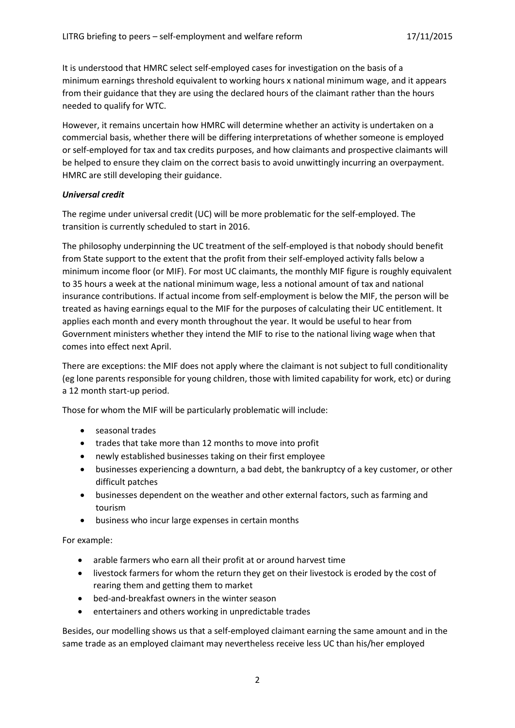It is understood that HMRC select self-employed cases for investigation on the basis of a minimum earnings threshold equivalent to working hours x national minimum wage, and it appears from their guidance that they are using the declared hours of the claimant rather than the hours needed to qualify for WTC.

However, it remains uncertain how HMRC will determine whether an activity is undertaken on a commercial basis, whether there will be differing interpretations of whether someone is employed or self-employed for tax and tax credits purposes, and how claimants and prospective claimants will be helped to ensure they claim on the correct basis to avoid unwittingly incurring an overpayment. HMRC are still developing their guidance.

## *Universal credit*

The regime under universal credit (UC) will be more problematic for the self-employed. The transition is currently scheduled to start in 2016.

The philosophy underpinning the UC treatment of the self-employed is that nobody should benefit from State support to the extent that the profit from their self-employed activity falls below a minimum income floor (or MIF). For most UC claimants, the monthly MIF figure is roughly equivalent to 35 hours a week at the national minimum wage, less a notional amount of tax and national insurance contributions. If actual income from self-employment is below the MIF, the person will be treated as having earnings equal to the MIF for the purposes of calculating their UC entitlement. It applies each month and every month throughout the year. It would be useful to hear from Government ministers whether they intend the MIF to rise to the national living wage when that comes into effect next April.

There are exceptions: the MIF does not apply where the claimant is not subject to full conditionality (eg lone parents responsible for young children, those with limited capability for work, etc) or during a 12 month start-up period.

Those for whom the MIF will be particularly problematic will include:

- seasonal trades
- trades that take more than 12 months to move into profit
- newly established businesses taking on their first employee
- businesses experiencing a downturn, a bad debt, the bankruptcy of a key customer, or other difficult patches
- businesses dependent on the weather and other external factors, such as farming and tourism
- business who incur large expenses in certain months

For example:

- arable farmers who earn all their profit at or around harvest time
- livestock farmers for whom the return they get on their livestock is eroded by the cost of rearing them and getting them to market
- bed-and-breakfast owners in the winter season
- entertainers and others working in unpredictable trades

Besides, our modelling shows us that a self-employed claimant earning the same amount and in the same trade as an employed claimant may nevertheless receive less UC than his/her employed